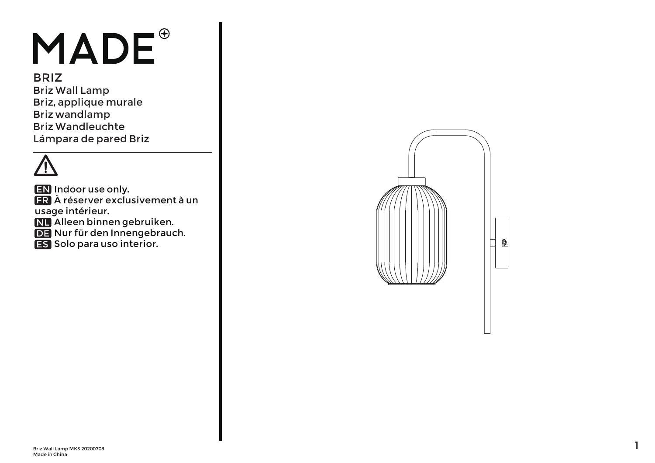## MADE<sup>®</sup>

BRIZ Briz Wall Lamp Briz, applique murale Briz wandlamp Briz Wandleuchte Lámpara de pared Briz

**EN** Indoor use only.

- À réserver exclusivement à un FR usage intérieur.
- Alleen binnen gebruiken. NL
- DE Nur für den Innengebrauch.
- **ES** Solo para uso interior.

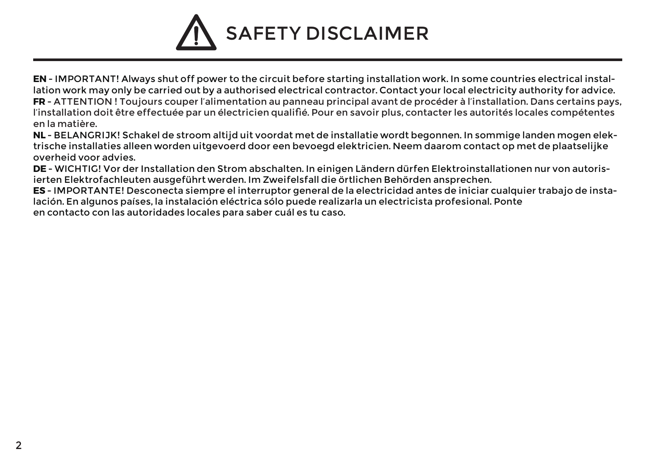## SAFETY DISCLAIMER

**EN** - IMPORTANT! Always shut off power to the circuit before starting installation work. In some countries electrical installation work may only be carried out by a authorised electrical contractor. Contact your local electricity authority for advice. **FR** - ATTENTION ! Toujours couper l'alimentation au panneau principal avant de procéder à l'installation. Dans certains pays, l'installation doit être effectuée par un électricien qualifié. Pour en savoir plus, contacter les autorités locales compétentes en la matière.

**NL** - BELANGRIJK! Schakel de stroom altijd uit voordat met de installatie wordt begonnen. In sommige landen mogen elektrische installaties alleen worden uitgevoerd door een bevoegd elektricien. Neem daarom contact op met de plaatselijke overheid voor advies.

**DE** - WICHTIG! Vor der Installation den Strom abschalten. In einigen Ländern dürfen Elektroinstallationen nur von autorisierten Elektrofachleuten ausgeführt werden. Im Zweifelsfall die örtlichen Behörden ansprechen.

**ES** - IMPORTANTE! Desconecta siempre el interruptor general de la electricidad antes de iniciar cualquier trabajo de instalación. En algunos países, la instalación eléctrica sólo puede realizarla un electricista profesional. Ponte en contacto con las autoridades locales para saber cuál es tu caso.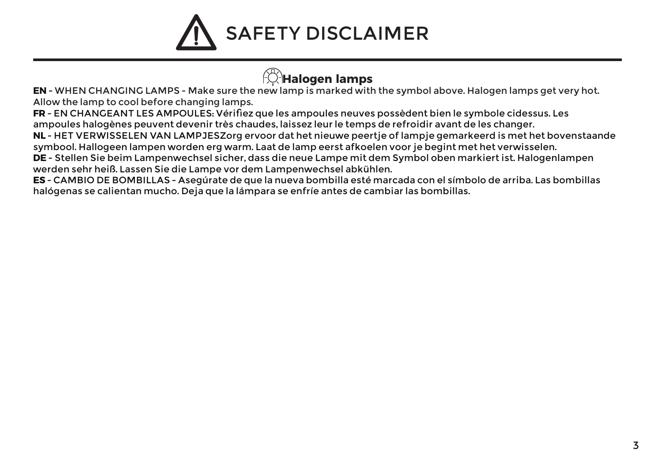

## **Halogen lamps**

**EN** - WHEN CHANGING LAMPS - Make sure the new lamp is marked with the symbol above. Halogen lamps get very hot. Allow the lamp to cool before changing lamps.

**FR** - EN CHANGEANT LES AMPOULES: Vérifiez que les ampoules neuves possèdent bien le symbole cidessus. Les ampoules halogènes peuvent devenir très chaudes, laissez leur le temps de refroidir avant de les changer.

**NL** - HET VERWISSELEN VAN LAMPJESZorg ervoor dat het nieuwe peertje of lampje gemarkeerd is met het bovenstaande symbool. Hallogeen lampen worden erg warm. Laat de lamp eerst afkoelen voor je begint met het verwisselen.

**DE** - Stellen Sie beim Lampenwechsel sicher, dass die neue Lampe mit dem Symbol oben markiert ist. Halogenlampen werden sehr heiß. Lassen Sie die Lampe vor dem Lampenwechsel abkühlen.

**ES** - CAMBIO DE BOMBILLAS - Asegúrate de que la nueva bombilla esté marcada con el símbolo de arriba. Las bombillas halógenas se calientan mucho. Deja que la lámpara se enfríe antes de cambiar las bombillas.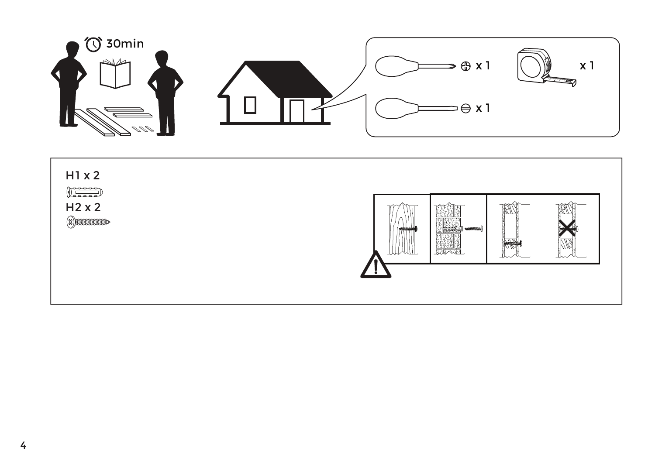

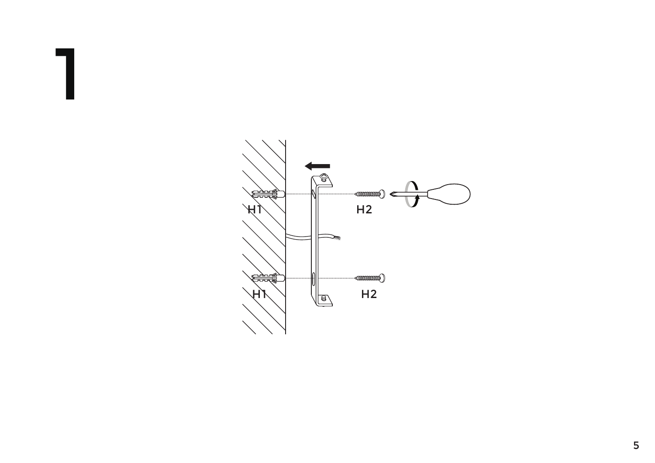

1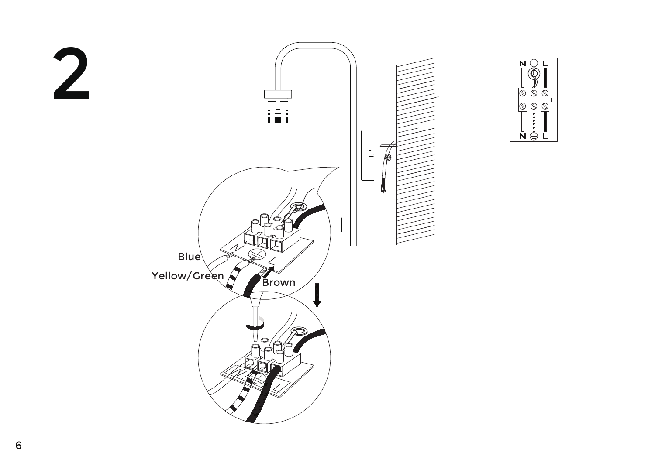

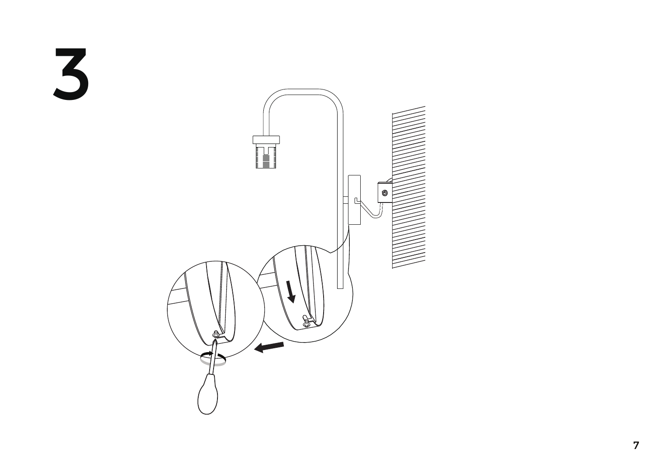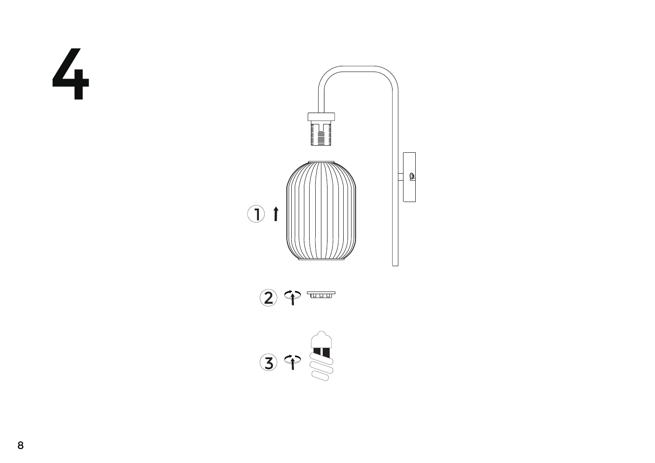